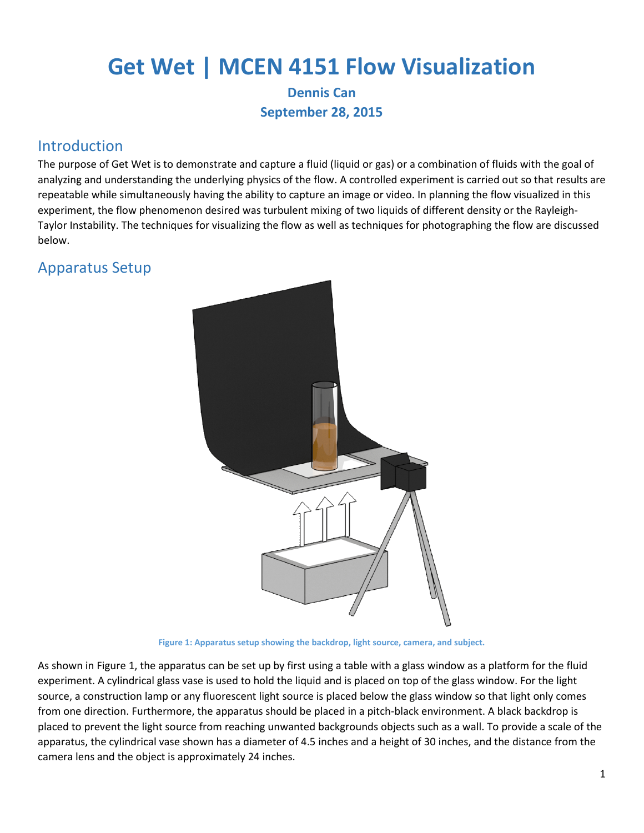# **Get Wet | MCEN 4151 Flow Visualization**

#### **Dennis Can September 28, 2015**

### Introduction

The purpose of Get Wet is to demonstrate and capture a fluid (liquid or gas) or a combination of fluids with the goal of analyzing and understanding the underlying physics of the flow. A controlled experiment is carried out so that results are repeatable while simultaneously having the ability to capture an image or video. In planning the flow visualized in this experiment, the flow phenomenon desired was turbulent mixing of two liquids of different density or the Rayleigh-Taylor Instability. The techniques for visualizing the flow as well as techniques for photographing the flow are discussed below.

# Apparatus Setup



**Figure 1: Apparatus setup showing the backdrop, light source, camera, and subject.**

<span id="page-0-0"></span>As shown in [Figure 1,](#page-0-0) the apparatus can be set up by first using a table with a glass window as a platform for the fluid experiment. A cylindrical glass vase is used to hold the liquid and is placed on top of the glass window. For the light source, a construction lamp or any fluorescent light source is placed below the glass window so that light only comes from one direction. Furthermore, the apparatus should be placed in a pitch-black environment. A black backdrop is placed to prevent the light source from reaching unwanted backgrounds objects such as a wall. To provide a scale of the apparatus, the cylindrical vase shown has a diameter of 4.5 inches and a height of 30 inches, and the distance from the camera lens and the object is approximately 24 inches.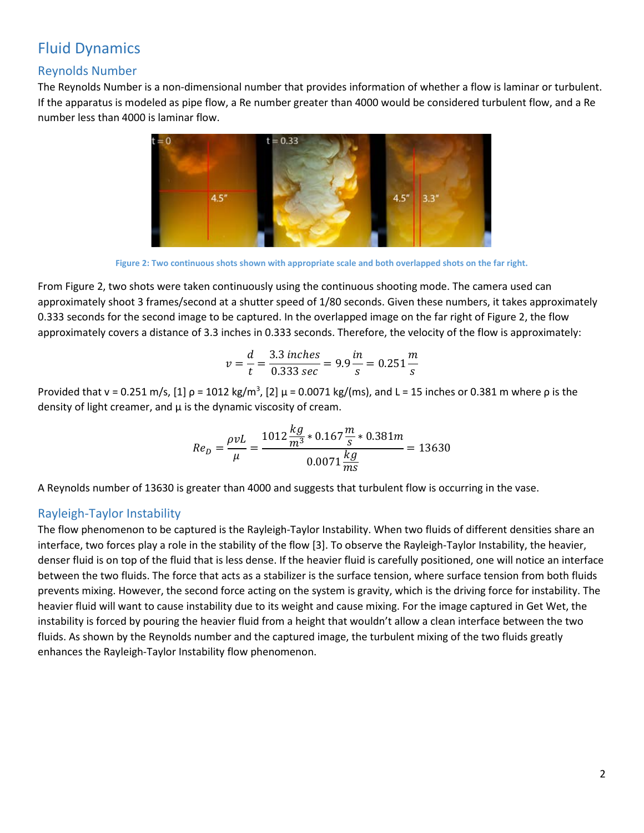# Fluid Dynamics

#### Reynolds Number

The Reynolds Number is a non-dimensional number that provides information of whether a flow is laminar or turbulent. If the apparatus is modeled as pipe flow, a Re number greater than 4000 would be considered turbulent flow, and a Re number less than 4000 is laminar flow.



**Figure 2: Two continuous shots shown with appropriate scale and both overlapped shots on the far right.** 

<span id="page-1-0"></span>From [Figure 2,](#page-1-0) two shots were taken continuously using the continuous shooting mode. The camera used can approximately shoot 3 frames/second at a shutter speed of 1/80 seconds. Given these numbers, it takes approximately 0.333 seconds for the second image to be captured. In the overlapped image on the far right of Figure 2, the flow approximately covers a distance of 3.3 inches in 0.333 seconds. Therefore, the velocity of the flow is approximately:

$$
v = \frac{d}{t} = \frac{3.3 \text{ inches}}{0.333 \text{ sec}} = 9.9 \frac{\text{in}}{\text{s}} = 0.251 \frac{\text{m}}{\text{s}}
$$

Provided that v = 0.251 m/s, [1]  $\rho$  = 1012 kg/m<sup>3</sup>, [2]  $\mu$  = 0.0071 kg/(ms), and L = 15 inches or 0.381 m where  $\rho$  is the density of light creamer, and  $\mu$  is the dynamic viscosity of cream.

$$
Re_D = \frac{\rho vL}{\mu} = \frac{1012 \frac{kg}{m^3} * 0.167 \frac{m}{s} * 0.381 m}{0.0071 \frac{kg}{m s}} = 13630
$$

A Reynolds number of 13630 is greater than 4000 and suggests that turbulent flow is occurring in the vase.

#### Rayleigh-Taylor Instability

The flow phenomenon to be captured is the Rayleigh-Taylor Instability. When two fluids of different densities share an interface, two forces play a role in the stability of the flow [3]. To observe the Rayleigh-Taylor Instability, the heavier, denser fluid is on top of the fluid that is less dense. If the heavier fluid is carefully positioned, one will notice an interface between the two fluids. The force that acts as a stabilizer is the surface tension, where surface tension from both fluids prevents mixing. However, the second force acting on the system is gravity, which is the driving force for instability. The heavier fluid will want to cause instability due to its weight and cause mixing. For the image captured in Get Wet, the instability is forced by pouring the heavier fluid from a height that wouldn't allow a clean interface between the two fluids. As shown by the Reynolds number and the captured image, the turbulent mixing of the two fluids greatly enhances the Rayleigh-Taylor Instability flow phenomenon.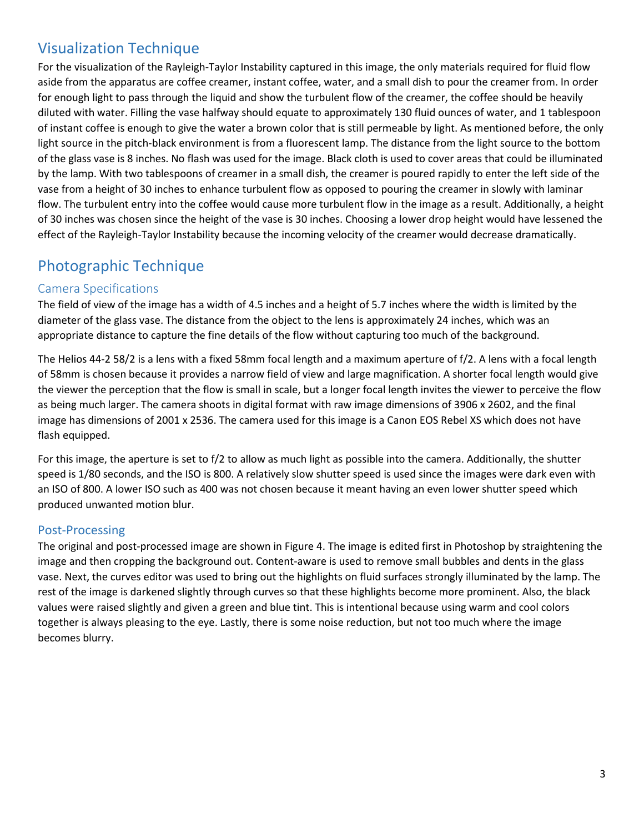# Visualization Technique

For the visualization of the Rayleigh-Taylor Instability captured in this image, the only materials required for fluid flow aside from the apparatus are coffee creamer, instant coffee, water, and a small dish to pour the creamer from. In order for enough light to pass through the liquid and show the turbulent flow of the creamer, the coffee should be heavily diluted with water. Filling the vase halfway should equate to approximately 130 fluid ounces of water, and 1 tablespoon of instant coffee is enough to give the water a brown color that is still permeable by light. As mentioned before, the only light source in the pitch-black environment is from a fluorescent lamp. The distance from the light source to the bottom of the glass vase is 8 inches. No flash was used for the image. Black cloth is used to cover areas that could be illuminated by the lamp. With two tablespoons of creamer in a small dish, the creamer is poured rapidly to enter the left side of the vase from a height of 30 inches to enhance turbulent flow as opposed to pouring the creamer in slowly with laminar flow. The turbulent entry into the coffee would cause more turbulent flow in the image as a result. Additionally, a height of 30 inches was chosen since the height of the vase is 30 inches. Choosing a lower drop height would have lessened the effect of the Rayleigh-Taylor Instability because the incoming velocity of the creamer would decrease dramatically.

# Photographic Technique

#### Camera Specifications

The field of view of the image has a width of 4.5 inches and a height of 5.7 inches where the width is limited by the diameter of the glass vase. The distance from the object to the lens is approximately 24 inches, which was an appropriate distance to capture the fine details of the flow without capturing too much of the background.

The Helios 44-2 58/2 is a lens with a fixed 58mm focal length and a maximum aperture of f/2. A lens with a focal length of 58mm is chosen because it provides a narrow field of view and large magnification. A shorter focal length would give the viewer the perception that the flow is small in scale, but a longer focal length invites the viewer to perceive the flow as being much larger. The camera shoots in digital format with raw image dimensions of 3906 x 2602, and the final image has dimensions of 2001 x 2536. The camera used for this image is a Canon EOS Rebel XS which does not have flash equipped.

For this image, the aperture is set to f/2 to allow as much light as possible into the camera. Additionally, the shutter speed is 1/80 seconds, and the ISO is 800. A relatively slow shutter speed is used since the images were dark even with an ISO of 800. A lower ISO such as 400 was not chosen because it meant having an even lower shutter speed which produced unwanted motion blur.

#### Post-Processing

The original and post-processed image are shown i[n Figure 4.](#page-3-0) The image is edited first in Photoshop by straightening the image and then cropping the background out. Content-aware is used to remove small bubbles and dents in the glass vase. Next, the curves editor was used to bring out the highlights on fluid surfaces strongly illuminated by the lamp. The rest of the image is darkened slightly through curves so that these highlights become more prominent. Also, the black values were raised slightly and given a green and blue tint. This is intentional because using warm and cool colors together is always pleasing to the eye. Lastly, there is some noise reduction, but not too much where the image becomes blurry.